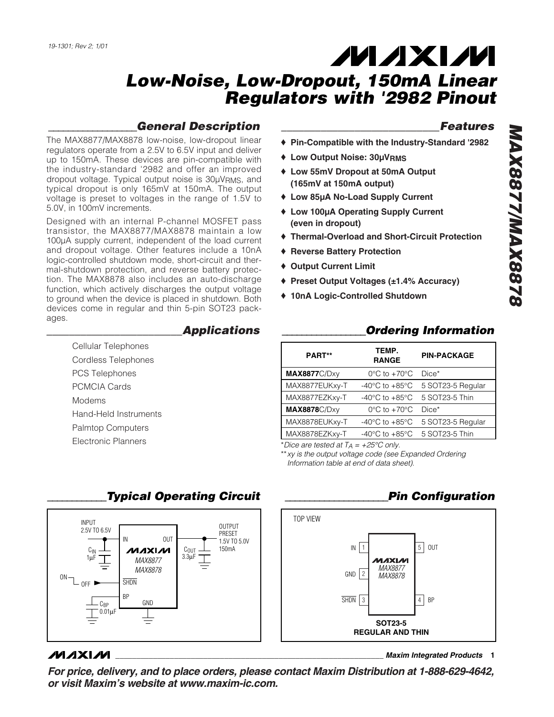# **MAXM**

### *Low-Noise, Low-Dropout, 150mA Linear Regulators with '2982 Pinout*

### *\_\_\_\_\_\_\_\_\_\_\_\_\_\_\_\_\_\_General Description*

The MAX8877/MAX8878 low-noise, low-dropout linear regulators operate from a 2.5V to 6.5V input and deliver up to 150mA. These devices are pin-compatible with the industry-standard '2982 and offer an improved dropout voltage. Typical output noise is 30µVRMS, and typical dropout is only 165mV at 150mA. The output voltage is preset to voltages in the range of 1.5V to 5.0V, in 100mV increments.

Designed with an internal P-channel MOSFET pass transistor, the MAX8877/MAX8878 maintain a low 100µA supply current, independent of the load current and dropout voltage. Other features include a 10nA logic-controlled shutdown mode, short-circuit and thermal-shutdown protection, and reverse battery protection. The MAX8878 also includes an auto-discharge function, which actively discharges the output voltage to ground when the device is placed in shutdown. Both devices come in regular and thin 5-pin SOT23 packages.

#### *\_\_\_\_\_\_\_\_\_\_\_\_\_\_\_\_\_\_\_\_\_\_\_\_Applications*

- Cellular Telephones Cordless Telephones PCS Telephones PCMCIA Cards Modems Hand-Held Instruments Palmtop Computers
- Electronic Planners

#### *\_\_\_\_\_\_\_\_\_\_\_\_\_\_\_\_\_\_\_\_\_\_\_\_\_\_\_\_Features*

- ♦ **Pin-Compatible with the Industry-Standard '2982**
- ♦ **Low Output Noise: 30µVRMS**
- ♦ **Low 55mV Dropout at 50mA Output (165mV at 150mA output)**
- ♦ **Low 85µA No-Load Supply Current**
- ♦ **Low 100µA Operating Supply Current (even in dropout)**
- ♦ **Thermal-Overload and Short-Circuit Protection**
- ♦ **Reverse Battery Protection**
- ♦ **Output Current Limit**
- ♦ **Preset Output Voltages (±1.4% Accuracy)**
- ♦ **10nA Logic-Controlled Shutdown**

### *\_\_\_\_\_\_\_\_\_\_\_\_\_\_\_\_\_Ordering Information*

| PART**               | TEMP.<br><b>RANGE</b>                | <b>PIN-PACKAGE</b> |  |  |
|----------------------|--------------------------------------|--------------------|--|--|
| <b>MAX8877C/Dxy</b>  | $0^{\circ}$ C to $+70^{\circ}$ C     | Dice*              |  |  |
| MAX8877EUKxy-T       | $-40^{\circ}$ C to $+85^{\circ}$ C   | 5 SOT23-5 Regular  |  |  |
| MAX8877EZKxy-T       | -40 $^{\circ}$ C to +85 $^{\circ}$ C | 5 SOT23-5 Thin     |  |  |
| <b>MAX8878</b> C/Dxy | $0^{\circ}$ C to $+70^{\circ}$ C     | Dice*              |  |  |
| MAX8878EUKxy-T       | -40 $^{\circ}$ C to +85 $^{\circ}$ C | 5 SOT23-5 Regular  |  |  |
| MAX8878EZKxy-T       | -40 $^{\circ}$ C to +85 $^{\circ}$ C | 5 SOT23-5 Thin     |  |  |

\**Dice are tested at*  $T_A = +25^\circ C$  *only.* 

\*\**xy is the output voltage code (see Expanded Ordering Information table at end of data sheet).*



### *\_\_\_\_\_\_\_\_\_\_\_\_Typical Operating Circuit*

### *\_\_\_\_\_\_\_\_\_\_\_\_\_\_\_\_\_\_\_\_\_Pin Configuration*



#### **MAXIM**

**\_\_\_\_\_\_\_\_\_\_\_\_\_\_\_\_\_\_\_\_\_\_\_\_\_\_\_\_\_\_\_\_\_\_\_\_\_\_\_\_\_\_\_\_\_\_\_\_\_\_\_\_\_\_\_\_\_\_\_\_\_\_\_\_** *Maxim Integrated Products* **1**

*For price, delivery, and to place orders, please contact Maxim Distribution at 1-888-629-4642, or visit Maxim's website at www.maxim-ic.com.*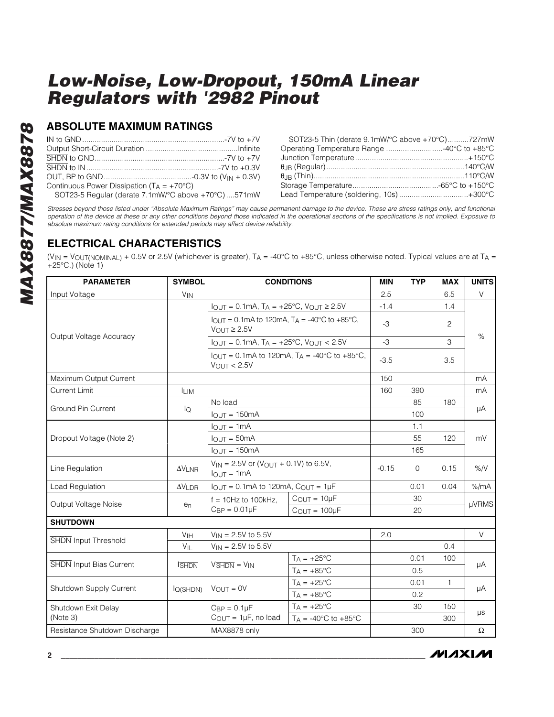#### **ABSOLUTE MAXIMUM RATINGS**

| Continuous Power Dissipation $(T_A = +70^{\circ}C)$ |  |
|-----------------------------------------------------|--|
| SOT23-5 Regular (derate 7.1mW/°C above +70°C)571mW  |  |

| SOT23-5 Thin (derate 9.1mW/°C above +70°C)727mW |  |
|-------------------------------------------------|--|
| Operating Temperature Range 40°C to +85°C       |  |
|                                                 |  |
|                                                 |  |
|                                                 |  |
|                                                 |  |
| Lead Temperature (soldering, 10s)+300°C         |  |

*Stresses beyond those listed under "Absolute Maximum Ratings" may cause permanent damage to the device. These are stress ratings only, and functional operation of the device at these or any other conditions beyond those indicated in the operational sections of the specifications is not implied. Exposure to absolute maximum rating conditions for extended periods may affect device reliability.*

### **ELECTRICAL CHARACTERISTICS**

(VIN = VOUT(NOMINAL) + 0.5V or 2.5V (whichever is greater),  $T_A = -40^{\circ}C$  to +85°C, unless otherwise noted. Typical values are at  $T_A$  =  $+25^{\circ}$ C.) (Note 1)

| <b>PARAMETER</b>               | <b>SYMBOL</b>             | <b>CONDITIONS</b>                                                                                                                                                                                                                                                                                                                           |                                        | <b>MIN</b> | <b>TYP</b>  | <b>MAX</b> | <b>UNITS</b> |  |
|--------------------------------|---------------------------|---------------------------------------------------------------------------------------------------------------------------------------------------------------------------------------------------------------------------------------------------------------------------------------------------------------------------------------------|----------------------------------------|------------|-------------|------------|--------------|--|
| Input Voltage                  | $V_{IN}$                  |                                                                                                                                                                                                                                                                                                                                             |                                        | 2.5        |             | 6.5        | V            |  |
| Output Voltage Accuracy        |                           | $I_{OUT} = 0.1mA$ , $T_A = +25°C$ , $V_{OUT} \ge 2.5V$                                                                                                                                                                                                                                                                                      |                                        | $-1.4$     |             | 1.4        | $\%$         |  |
|                                |                           | $I_{\text{OUT}} = 0.1 \text{mA}$ to 120mA, $T_A = -40^{\circ} \text{C}$ to $+85^{\circ} \text{C}$ ,<br>$V_{OUT} \geq 2.5V$<br>$I_{OUT} = 0.1 \text{mA}$ , $T_A = +25^{\circ}\text{C}$ , $V_{OUT} < 2.5 \text{V}$<br>$I_{\text{OUT}} = 0.1 \text{mA}$ to 120mA, $T_A = -40^{\circ} \text{C}$ to $+85^{\circ} \text{C}$ ,<br>$V_{OUT} < 2.5V$ |                                        | $-3$       |             | 2          |              |  |
|                                |                           |                                                                                                                                                                                                                                                                                                                                             |                                        | $-3$       |             | 3          |              |  |
|                                |                           |                                                                                                                                                                                                                                                                                                                                             |                                        | $-3.5$     |             | 3.5        |              |  |
| Maximum Output Current         |                           |                                                                                                                                                                                                                                                                                                                                             |                                        | 150        |             |            | mA           |  |
| <b>Current Limit</b>           | <b>ILIM</b>               |                                                                                                                                                                                                                                                                                                                                             |                                        | 160        | 390         |            | mA           |  |
| <b>Ground Pin Current</b>      |                           | No load                                                                                                                                                                                                                                                                                                                                     |                                        |            | 85          | 180        |              |  |
|                                | lQ                        | $IOUT = 150mA$                                                                                                                                                                                                                                                                                                                              |                                        |            | 100         |            | μA           |  |
| Dropout Voltage (Note 2)       |                           | $IQUT = 1mA$<br>$IOUT = 50mA$<br>$IQIJT = 150mA$                                                                                                                                                                                                                                                                                            |                                        |            | 1.1         |            | mV           |  |
|                                |                           |                                                                                                                                                                                                                                                                                                                                             |                                        |            | 55          | 120        |              |  |
|                                |                           |                                                                                                                                                                                                                                                                                                                                             |                                        |            | 165         |            |              |  |
| Line Regulation                | $\Delta\rm{V}_{\rm{LNR}}$ | $V_{IN}$ = 2.5V or (V <sub>OUT</sub> + 0.1V) to 6.5V,<br>$I$ <sup>O</sup> $I$ JT = 1mA                                                                                                                                                                                                                                                      |                                        | $-0.15$    | $\mathbf 0$ | 0.15       | %N           |  |
| Load Regulation                | $\Delta V$ LDR            | $I_{OUT} = 0.1 \text{mA}$ to 120mA, $C_{OUT} = 1 \mu F$                                                                                                                                                                                                                                                                                     |                                        |            | 0.01        | 0.04       | % /mA        |  |
| Output Voltage Noise           | e <sub>n</sub>            | $f = 10$ Hz to 100kHz.<br>$C_{BP} = 0.01 \mu F$                                                                                                                                                                                                                                                                                             | $C_{OUT} = 10\mu F$                    |            | 30          |            | <b>µVRMS</b> |  |
|                                |                           |                                                                                                                                                                                                                                                                                                                                             | $C_{\text{OUT}} = 100 \mu F$           |            | 20          |            |              |  |
| <b>SHUTDOWN</b>                |                           |                                                                                                                                                                                                                                                                                                                                             |                                        |            |             |            |              |  |
| <b>SHDN</b> Input Threshold    | V <sub>IH</sub>           | $V_{IN} = 2.5V$ to 5.5V                                                                                                                                                                                                                                                                                                                     |                                        | 2.0        |             |            | $\vee$       |  |
|                                | VIL                       | $V_{IN} = 2.5V$ to 5.5V                                                                                                                                                                                                                                                                                                                     |                                        |            |             | 0.4        |              |  |
| <b>SHDN</b> Input Bias Current | <b>SHDN</b>               | $V\overline{\text{SHDN}} = V\text{IN}$                                                                                                                                                                                                                                                                                                      | $T_A = +25^{\circ}C$                   |            | 0.01        | 100        | μA           |  |
|                                |                           |                                                                                                                                                                                                                                                                                                                                             | $T_A = +85^{\circ}C$                   |            | 0.5         |            |              |  |
| Shutdown Supply Current        | $I_{Q(SHDN)}$             | $V_{OUT} = 0V$                                                                                                                                                                                                                                                                                                                              | $T_A = +25$ °C                         |            | 0.01        | 1          | μA           |  |
|                                |                           |                                                                                                                                                                                                                                                                                                                                             | $T_A = +85^{\circ}C$                   |            | 0.2         |            |              |  |
| Shutdown Exit Delay            |                           | $C_{BP} = 0.1 \mu F$                                                                                                                                                                                                                                                                                                                        | $T_A = +25$ °C                         |            | 30          | 150        | $\mu s$      |  |
| (Note 3)                       |                           | $C_{OUT} = 1\mu F$ , no load                                                                                                                                                                                                                                                                                                                | $T_A = -40^{\circ}C$ to $+85^{\circ}C$ |            |             | 300        |              |  |
| Resistance Shutdown Discharge  |                           | MAX8878 only                                                                                                                                                                                                                                                                                                                                |                                        |            | 300         |            | Ω            |  |

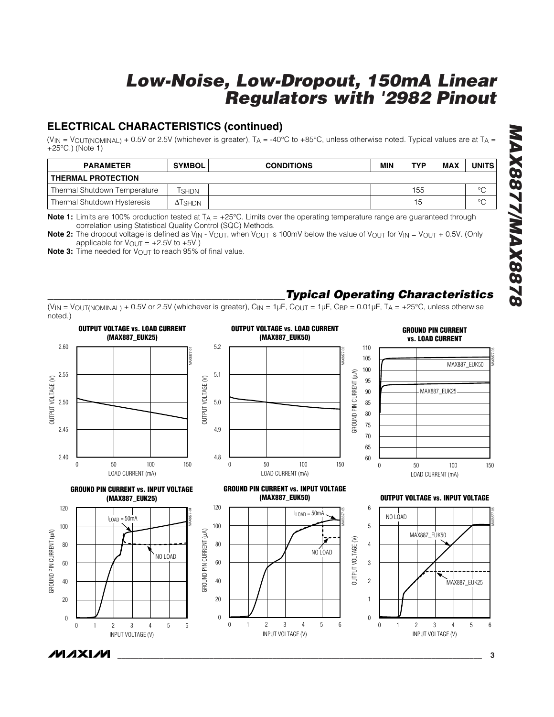### **ELECTRICAL CHARACTERISTICS (continued)**

(V<sub>IN</sub> = V<sub>OUT(NOMINAL)</sub> + 0.5V or 2.5V (whichever is greater), T<sub>A</sub> = -40°C to +85°C, unless otherwise noted. Typical values are at T<sub>A</sub> = +25°C.) (Note 1)

| <b>PARAMETER</b>             | <b>SYMBOL</b>  | <b>CONDITIONS</b> | MIN | TYP | MAX | UNITS   |
|------------------------------|----------------|-------------------|-----|-----|-----|---------|
| <b>THERMAL PROTECTION</b>    |                |                   |     |     |     |         |
| Thermal Shutdown Temperature | l SHDN         |                   |     | 155 |     | $\circ$ |
| Thermal Shutdown Hysteresis  | $\Delta$ TSHDN |                   |     | 15  |     | $\circ$ |

**Note 1:** Limits are 100% production tested at T<sub>A</sub> = +25°C. Limits over the operating temperature range are guaranteed through correlation using Statistical Quality Control (SQC) Methods.

**Note 2:** The dropout voltage is defined as V<sub>IN</sub> - V<sub>OUT</sub>, when V<sub>OUT</sub> is 100mV below the value of V<sub>OUT</sub> for V<sub>IN</sub> = V<sub>OUT</sub> + 0.5V. (Only applicable for  $V_{\text{OUT}} = +2.5V$  to  $+5V$ .)

**Note 3:** Time needed for V<sub>OUT</sub> to reach 95% of final value.

### *\_\_\_\_\_\_\_\_\_\_\_\_\_\_\_\_\_\_\_\_\_\_\_\_\_\_\_\_\_\_\_\_\_\_\_\_\_\_\_\_\_\_Typical Operating Characteristics*

(VIN = VOUT(NOMINAL) + 0.5V or 2.5V (whichever is greater),  $C_{\text{IN}} = 1 \mu$ F,  $C_{\text{OUT}} = 1 \mu$ F,  $C_{\text{BP}} = 0.01 \mu$ F,  $T_A = +25^{\circ}$ C, unless otherwise noted.)



*MAX8877/MAX8878* 8288XVW/2288XVM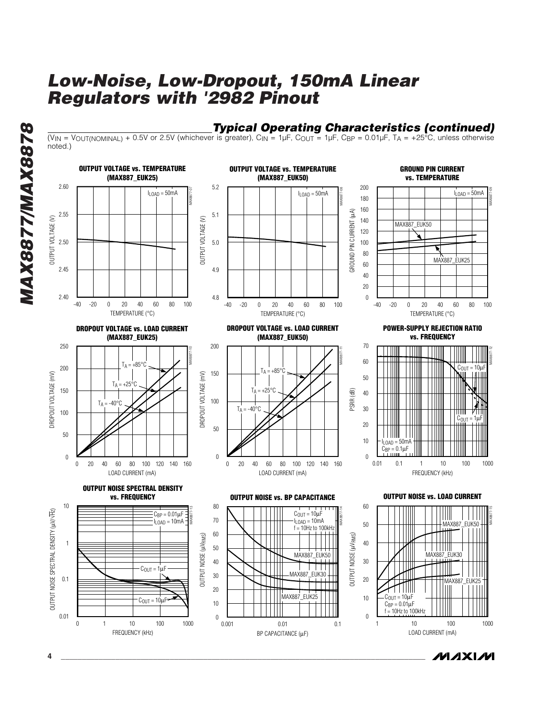$\overline{(V_{IN} = V_{OUT(NOMINAL)} + 0.5V)}$  or 2.5V (whichever is greater),  $C_{IN} = 1 \mu F$ ,  $C_{OUT} = 1 \mu F$ ,  $C_{BP} = 0.01 \mu F$ ,  $T_A = +25\degree C$ , unless otherwise

*Typical Operating Characteristics (continued)*

*MAX8877/MAX8878* **MAX8877/MAX8878** 

noted.)

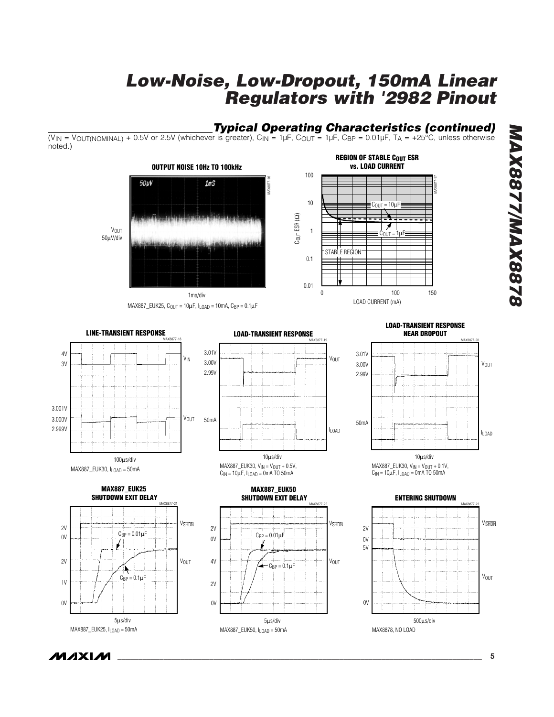#### *Typical Operating Characteristics (continued)*

 $10 \qquad \qquad \overline{\qquad \qquad }$   $C_{\text{OUT}} = 10 \mu \text{F}$ 

STABLE REGION

**REGION OF STABLE COUT ESR vs. LOAD CURRENT**

V<sub>OUT</sub>

MAX8877-19

1

MAX0877-22

(V<sub>IN</sub> = V<sub>OUT(NOMINAL)</sub> + 0.5V or 2.5V (whichever is greater), C<sub>IN</sub> = 1µF, C<sub>OUT</sub> = 1µF, C<sub>BP</sub> = 0.01µF, T<sub>A</sub> = +25°C, unless otherwise noted.)



 $MAX887$ \_EUK25,  $C_{OUT} = 10 \mu F$ ,  $I_{LOAD} = 10$ mA,  $C_{BP} = 0.1 \mu F$ 

 $\alpha$ 

2V

0V

2V

4V

**LOAD-TRANSIENT RESPONSE NEAR DROPOUT**

MAX8877-17

0 100 150

 $C_{\text{OUT}} = 1 \mu F$ 

LOAD CURRENT (mA)









**LOAD-TRANSIENT RESPONSE**

**MAX887\_EUK50**

 $C_{BP} = 0.01 \mu F$ 

 $C_{\text{BP}} = 0.1 \mu F$ 

 **SHUTDOWN EXIT DELAY**

5µs/div

MAX887\_EUK50, ILOAD = 50mA

#### **SHUTDOWN EXIT DELAY** MAX8877-21 V<sub>SHDN</sub> 2V  $C_{BP} = 0.01 \mu F$ 0V 2V **V<sub>OUT</sub>** ķ  $C_{BP} = 0.1 \mu F$  $1V$ 0V 5µs/div MAX887\_EUK25, ILOAD = 50mA



*\_\_\_\_\_\_\_\_\_\_\_\_\_\_\_\_\_\_\_\_\_\_\_\_\_\_\_\_\_\_\_\_\_\_\_\_\_\_\_\_\_\_\_\_\_\_\_\_\_\_\_\_\_\_\_\_\_\_\_\_\_\_\_\_\_\_\_\_\_\_\_\_\_\_\_\_\_\_\_\_\_\_\_\_\_\_\_* **5**

*MAX8877/MAX8878*

**MAX8877/MAX8878**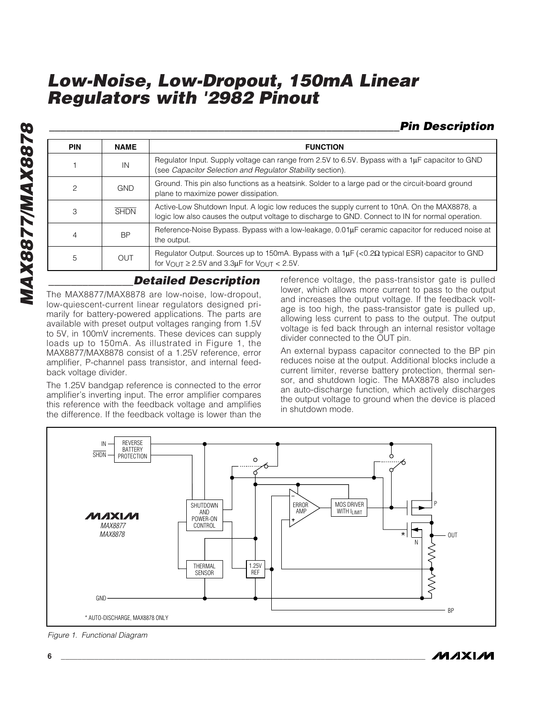*\_\_\_\_\_\_\_\_\_\_\_\_\_\_\_\_\_\_\_\_\_\_\_\_\_\_\_\_\_\_\_\_\_\_\_\_\_\_\_\_\_\_\_\_\_\_\_\_\_\_\_\_\_\_\_\_\_\_\_\_\_\_Pin Description*

| <b>PIN</b>     | <b>NAME</b> |                                                                                                                                                                                                   | <b>FUNCTION</b>                                                                                                                                                            |  |  |
|----------------|-------------|---------------------------------------------------------------------------------------------------------------------------------------------------------------------------------------------------|----------------------------------------------------------------------------------------------------------------------------------------------------------------------------|--|--|
|                | IN          | Regulator Input. Supply voltage can range from 2.5V to 6.5V. Bypass with a $1\mu$ F capacitor to GND<br>(see Capacitor Selection and Regulator Stability section).                                |                                                                                                                                                                            |  |  |
| $\overline{c}$ | <b>GND</b>  | Ground. This pin also functions as a heatsink. Solder to a large pad or the circuit-board ground<br>plane to maximize power dissipation.                                                          |                                                                                                                                                                            |  |  |
| 3              | <b>SHDN</b> | Active-Low Shutdown Input. A logic low reduces the supply current to 10nA. On the MAX8878, a<br>logic low also causes the output voltage to discharge to GND. Connect to IN for normal operation. |                                                                                                                                                                            |  |  |
| 4              | <b>BP</b>   | Reference-Noise Bypass. Bypass with a low-leakage, 0.01µF ceramic capacitor for reduced noise at<br>the output.                                                                                   |                                                                                                                                                                            |  |  |
| 5              | <b>OUT</b>  | Regulator Output. Sources up to 150mA. Bypass with a $1\mu$ F (<0.2 $\Omega$ typical ESR) capacitor to GND<br>for $V_{\text{OUT}} \geq 2.5V$ and 3.3µF for $V_{\text{OUT}} < 2.5V$ .              |                                                                                                                                                                            |  |  |
|                |             | <b>Detailed Description</b><br>The MAX8877/MAX8878 are low-noise, low-dropout,                                                                                                                    | reference voltage, the pass-transistor gate is pulled<br>lower, which allows more current to pass to the output<br>and increases the output voltage. If the feedback volt- |  |  |

The MAX8877/MAX8878 are low-noise, low-dropout, low-quiescent-current linear regulators designed primarily for battery-powered applications. The parts are available with preset output voltages ranging from 1.5V to 5V, in 100mV increments. These devices can supply loads up to 150mA. As illustrated in Figure 1, the MAX8877/MAX8878 consist of a 1.25V reference, error amplifier, P-channel pass transistor, and internal feedback voltage divider.

The 1.25V bandgap reference is connected to the error amplifier's inverting input. The error amplifier compares this reference with the feedback voltage and amplifies the difference. If the feedback voltage is lower than the

reference voltage, the pass-transistor gate is pulled lower, which allows more current to pass to the output and increases the output voltage. If the feedback voltage is too high, the pass-transistor gate is pulled up, allowing less current to pass to the output. The output voltage is fed back through an internal resistor voltage divider connected to the OUT pin.

An external bypass capacitor connected to the BP pin reduces noise at the output. Additional blocks include a current limiter, reverse battery protection, thermal sensor, and shutdown logic. The MAX8878 also includes an auto-discharge function, which actively discharges the output voltage to ground when the device is placed in shutdown mode.



*Figure 1. Functional Diagram*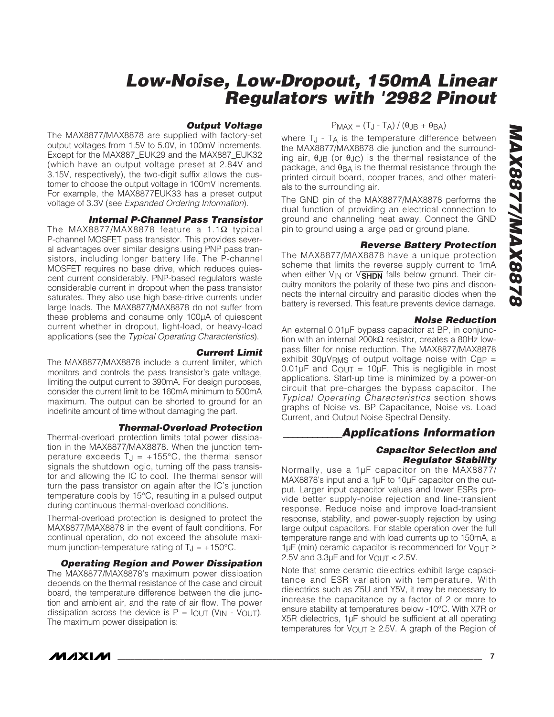#### *Output Voltage*

The MAX8877/MAX8878 are supplied with factory-set output voltages from 1.5V to 5.0V, in 100mV increments. Except for the MAX887\_EUK29 and the MAX887\_EUK32 (which have an output voltage preset at 2.84V and 3.15V, respectively), the two-digit suffix allows the customer to choose the output voltage in 100mV increments. For example, the MAX8877EUK33 has a preset output voltage of 3.3V (see *Expanded Ordering Information*).

#### *Internal P-Channel Pass Transistor*

The MAX8877/MAX8878 feature a 1.1Ω typical P-channel MOSFET pass transistor. This provides several advantages over similar designs using PNP pass transistors, including longer battery life. The P-channel MOSFET requires no base drive, which reduces quiescent current considerably. PNP-based regulators waste considerable current in dropout when the pass transistor saturates. They also use high base-drive currents under large loads. The MAX8877/MAX8878 do not suffer from these problems and consume only 100µA of quiescent current whether in dropout, light-load, or heavy-load applications (see the *Typical Operating Characteristics*).

#### *Current Limit*

The MAX8877/MAX8878 include a current limiter, which monitors and controls the pass transistor's gate voltage, limiting the output current to 390mA. For design purposes, consider the current limit to be 160mA minimum to 500mA maximum. The output can be shorted to ground for an indefinite amount of time without damaging the part.

#### *Thermal-Overload Protection*

Thermal-overload protection limits total power dissipation in the MAX8877/MAX8878. When the junction temperature exceeds  $T_J = +155$ °C, the thermal sensor signals the shutdown logic, turning off the pass transistor and allowing the IC to cool. The thermal sensor will turn the pass transistor on again after the IC's junction temperature cools by 15°C, resulting in a pulsed output during continuous thermal-overload conditions.

Thermal-overload protection is designed to protect the MAX8877/MAX8878 in the event of fault conditions. For continual operation, do not exceed the absolute maximum junction-temperature rating of  $T_J = +150^{\circ}C$ .

*Operating Region and Power Dissipation* The MAX8877/MAX8878's maximum power dissipation depends on the thermal resistance of the case and circuit board, the temperature difference between the die junction and ambient air, and the rate of air flow. The power dissipation across the device is  $P = I_{OUT}$  (V<sub>IN</sub> - V<sub>OUT</sub>). The maximum power dissipation is:

#### $P_{MAX} = (T_{J} - T_{A}) / (\theta_{J}B + \theta_{BA})$

where T<sub>J</sub> - T<sub>A</sub> is the temperature difference between the MAX8877/MAX8878 die junction and the surrounding air,  $θ$ JB (or  $θ$ JC) is the thermal resistance of the package, and  $\theta_{BA}$  is the thermal resistance through the printed circuit board, copper traces, and other materials to the surrounding air.

The GND pin of the MAX8877/MAX8878 performs the dual function of providing an electrical connection to ground and channeling heat away. Connect the GND pin to ground using a large pad or ground plane.

#### *Reverse Battery Protection*

The MAX8877/MAX8878 have a unique protection scheme that limits the reverse supply current to 1mA when either  $V_{IN}$  or  $V\overline{SHDN}$  falls below ground. Their circuitry monitors the polarity of these two pins and disconnects the internal circuitry and parasitic diodes when the battery is reversed. This feature prevents device damage.

#### *Noise Reduction*

An external 0.01µF bypass capacitor at BP, in conjunction with an internal 200kΩ resistor, creates a 80Hz lowpass filter for noise reduction. The MAX8877/MAX8878 exhibit 30 $\mu$ V<sub>RMS</sub> of output voltage noise with C<sub>BP</sub> =  $0.01 \mu$ F and C<sub>OUT</sub> = 10 $\mu$ F. This is negligible in most applications. Start-up time is minimized by a power-on circuit that pre-charges the bypass capacitor. The *Typical Operating Characteristics* section shows graphs of Noise vs. BP Capacitance, Noise vs. Load Current, and Output Noise Spectral Density.

#### *\_\_\_\_\_\_\_\_\_\_\_\_Applications Information*

#### *Capacitor Selection and Regulator Stability*

Normally, use a 1µF capacitor on the MAX8877/ MAX8878's input and a 1µF to 10µF capacitor on the output. Larger input capacitor values and lower ESRs provide better supply-noise rejection and line-transient response. Reduce noise and improve load-transient response, stability, and power-supply rejection by using large output capacitors. For stable operation over the full temperature range and with load currents up to 150mA, a 1µF (min) ceramic capacitor is recommended for VOUT ≥ 2.5V and  $3.3\mu$ F and for  $V_{\text{OUT}} < 2.5V$ .

Note that some ceramic dielectrics exhibit large capacitance and ESR variation with temperature. With dielectrics such as Z5U and Y5V, it may be necessary to increase the capacitance by a factor of 2 or more to ensure stability at temperatures below -10°C. With X7R or X5R dielectrics, 1µF should be sufficient at all operating temperatures for  $V_{\text{OUT}} \geq 2.5V$ . A graph of the Region of

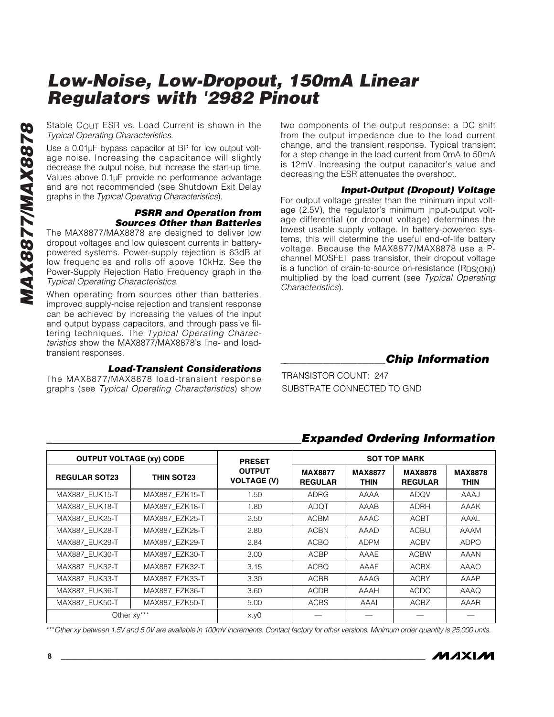Stable COUT ESR vs. Load Current is shown in the *Typical Operating Characteristics*.

Use a 0.01µF bypass capacitor at BP for low output voltage noise. Increasing the capacitance will slightly decrease the output noise, but increase the start-up time. Values above 0.1µF provide no performance advantage and are not recommended (see Shutdown Exit Delay graphs in the *Typical Operating Characteristics*).

#### *PSRR and Operation from Sources Other than Batteries*

The MAX8877/MAX8878 are designed to deliver low dropout voltages and low quiescent currents in batterypowered systems. Power-supply rejection is 63dB at low frequencies and rolls off above 10kHz. See the Power-Supply Rejection Ratio Frequency graph in the *Typical Operating Characteristics*.

When operating from sources other than batteries, improved supply-noise rejection and transient response can be achieved by increasing the values of the input and output bypass capacitors, and through passive filtering techniques. The *Typical Operating Characteristics* show the MAX8877/MAX8878's line- and loadtransient responses.

#### *Load-Transient Considerations*

The MAX8877/MAX8878 load-transient response graphs (see *Typical Operating Characteristics*) show two components of the output response: a DC shift from the output impedance due to the load current change, and the transient response. Typical transient for a step change in the load current from 0mA to 50mA is 12mV. Increasing the output capacitor's value and decreasing the ESR attenuates the overshoot.

#### *Input-Output (Dropout) Voltage*

For output voltage greater than the minimum input voltage (2.5V), the regulator's minimum input-output voltage differential (or dropout voltage) determines the lowest usable supply voltage. In battery-powered systems, this will determine the useful end-of-life battery voltage. Because the MAX8877/MAX8878 use a Pchannel MOSFET pass transistor, their dropout voltage is a function of drain-to-source on-resistance (RDS(ON)) multiplied by the load current (see *Typical Operating Characteristics*).

*\_\_\_\_\_\_\_\_\_\_\_\_\_\_\_\_\_\_\_Chip Information*

TRANSISTOR COUNT: 247 SUBSTRATE CONNECTED TO GND

#### **OUTPUT VOLTAGE (xy) CODE THE SOT TOP MARK REGULAR SOT23 THIN SOT23 PRESET OUTPUT VOLTAGE (V) MAX8877 REGULAR MAX8877 THIN MAX8878 REGULAR MAX8878 THIN** MAX887\_EUK15-T | MAX887\_EZK15-T | 1.50 | ADRG | AAAA | ADQV | AAAJ MAX887\_EUK18-T | MAX887\_EZK18-T | 1.80 | ADQT | AAAB | ADRH | AAAK MAX887\_EUK25-T | MAX887\_EZK25-T | 2.50 | ACBM | AAAC | ACBT | AAAL MAX887 EUK28-T | MAX887 EZK28-T | 2.80 | ACBN | AAAD | ACBU | AAAM MAX887\_EUK29-T | MAX887\_EZK29-T | 2.84 | ACBO | ADPM | ACBV | ADPO MAX887\_EUK30-T | MAX887\_EZK30-T | 3.00 | ACBP | AAAE | ACBW | AAAN MAX887\_EUK32-T | MAX887\_EZK32-T | 3.15 | ACBQ | AAAF | ACBX | AAAO MAX887\_EUK33-T | MAX887\_EZK33-T | 3.30 | ACBR | AAAG | ACBY | AAAP MAX887\_EUK36-T MAX887\_EZK36-T 3.60 ACDB AAAH ACDC AAAQ MAX887\_EUK50-T | MAX887\_EZK50-T | 5.00 | ACBS | AAAI | ACBZ | AAAR Other xy\*\*\* | x.y0 | — | — | — | —

#### *\_ Expanded Ordering Information*

\*\*\**Other xy between 1.5V and 5.0V are available in 100mV increments. Contact factory for other versions. Minimum order quantity is 25,000 units.*

*MAXM*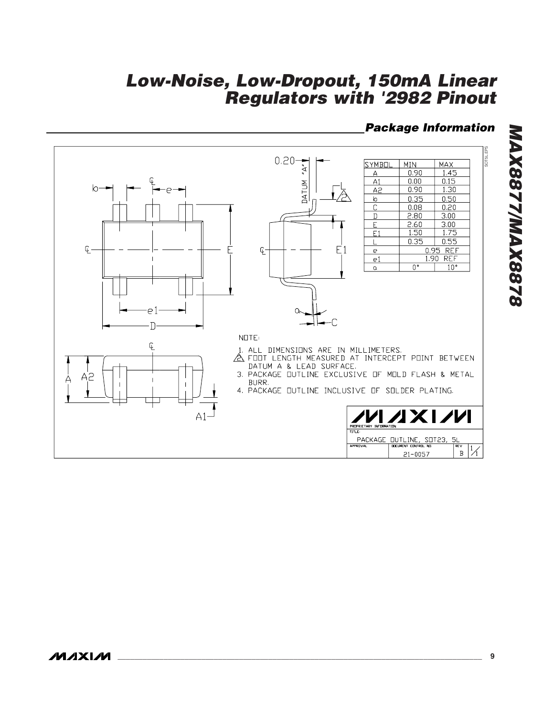#### *Package Information*